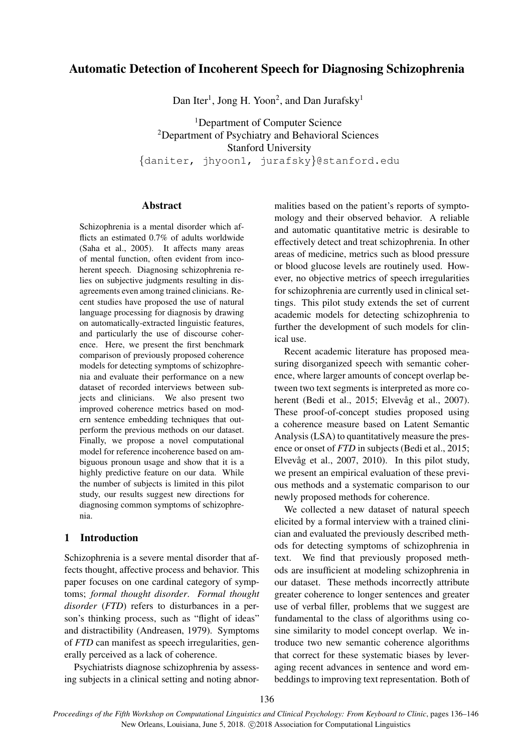# Automatic Detection of Incoherent Speech for Diagnosing Schizophrenia

Dan Iter<sup>1</sup>, Jong H. Yoon<sup>2</sup>, and Dan Jurafsky<sup>1</sup>

<sup>1</sup>Department of Computer Science <sup>2</sup>Department of Psychiatry and Behavioral Sciences Stanford University {daniter, jhyoon1, jurafsky}@stanford.edu

### Abstract

Schizophrenia is a mental disorder which afflicts an estimated 0.7% of adults worldwide (Saha et al., 2005). It affects many areas of mental function, often evident from incoherent speech. Diagnosing schizophrenia relies on subjective judgments resulting in disagreements even among trained clinicians. Recent studies have proposed the use of natural language processing for diagnosis by drawing on automatically-extracted linguistic features, and particularly the use of discourse coherence. Here, we present the first benchmark comparison of previously proposed coherence models for detecting symptoms of schizophrenia and evaluate their performance on a new dataset of recorded interviews between subjects and clinicians. We also present two improved coherence metrics based on modern sentence embedding techniques that outperform the previous methods on our dataset. Finally, we propose a novel computational model for reference incoherence based on ambiguous pronoun usage and show that it is a highly predictive feature on our data. While the number of subjects is limited in this pilot study, our results suggest new directions for diagnosing common symptoms of schizophrenia.

### 1 Introduction

Schizophrenia is a severe mental disorder that affects thought, affective process and behavior. This paper focuses on one cardinal category of symptoms; *formal thought disorder*. *Formal thought disorder* (*FTD*) refers to disturbances in a person's thinking process, such as "flight of ideas" and distractibility (Andreasen, 1979). Symptoms of *FTD* can manifest as speech irregularities, generally perceived as a lack of coherence.

Psychiatrists diagnose schizophrenia by assessing subjects in a clinical setting and noting abnormalities based on the patient's reports of symptomology and their observed behavior. A reliable and automatic quantitative metric is desirable to effectively detect and treat schizophrenia. In other areas of medicine, metrics such as blood pressure or blood glucose levels are routinely used. However, no objective metrics of speech irregularities for schizophrenia are currently used in clinical settings. This pilot study extends the set of current academic models for detecting schizophrenia to further the development of such models for clinical use.

Recent academic literature has proposed measuring disorganized speech with semantic coherence, where larger amounts of concept overlap between two text segments is interpreted as more coherent (Bedi et al., 2015; Elvevåg et al., 2007). These proof-of-concept studies proposed using a coherence measure based on Latent Semantic Analysis (LSA) to quantitatively measure the presence or onset of *FTD* in subjects (Bedi et al., 2015; Elvevåg et al.,  $2007$ ,  $2010$ ). In this pilot study, we present an empirical evaluation of these previous methods and a systematic comparison to our newly proposed methods for coherence.

We collected a new dataset of natural speech elicited by a formal interview with a trained clinician and evaluated the previously described methods for detecting symptoms of schizophrenia in text. We find that previously proposed methods are insufficient at modeling schizophrenia in our dataset. These methods incorrectly attribute greater coherence to longer sentences and greater use of verbal filler, problems that we suggest are fundamental to the class of algorithms using cosine similarity to model concept overlap. We introduce two new semantic coherence algorithms that correct for these systematic biases by leveraging recent advances in sentence and word embeddings to improving text representation. Both of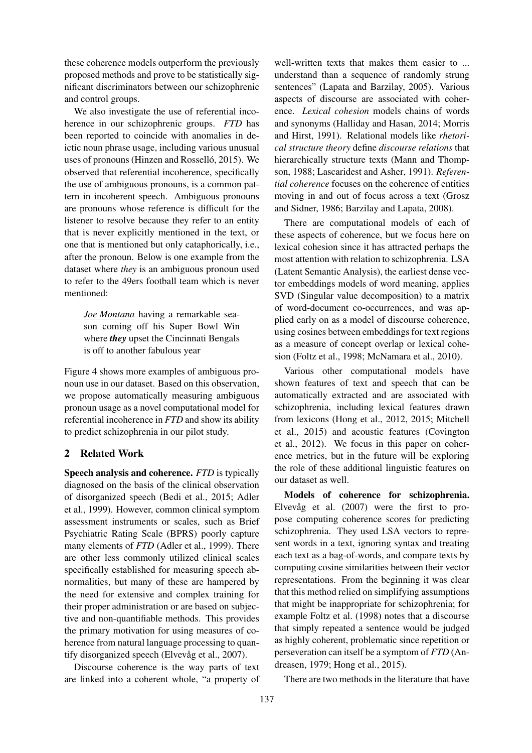these coherence models outperform the previously proposed methods and prove to be statistically significant discriminators between our schizophrenic and control groups.

We also investigate the use of referential incoherence in our schizophrenic groups. *FTD* has been reported to coincide with anomalies in deictic noun phrase usage, including various unusual uses of pronouns (Hinzen and Rosselló, 2015). We observed that referential incoherence, specifically the use of ambiguous pronouns, is a common pattern in incoherent speech. Ambiguous pronouns are pronouns whose reference is difficult for the listener to resolve because they refer to an entity that is never explicitly mentioned in the text, or one that is mentioned but only cataphorically, i.e., after the pronoun. Below is one example from the dataset where *they* is an ambiguous pronoun used to refer to the 49ers football team which is never mentioned:

*Joe Montana* having a remarkable season coming off his Super Bowl Win where *they* upset the Cincinnati Bengals is off to another fabulous year

Figure 4 shows more examples of ambiguous pronoun use in our dataset. Based on this observation, we propose automatically measuring ambiguous pronoun usage as a novel computational model for referential incoherence in *FTD* and show its ability to predict schizophrenia in our pilot study.

#### 2 Related Work

Speech analysis and coherence. *FTD* is typically diagnosed on the basis of the clinical observation of disorganized speech (Bedi et al., 2015; Adler et al., 1999). However, common clinical symptom assessment instruments or scales, such as Brief Psychiatric Rating Scale (BPRS) poorly capture many elements of *FTD* (Adler et al., 1999). There are other less commonly utilized clinical scales specifically established for measuring speech abnormalities, but many of these are hampered by the need for extensive and complex training for their proper administration or are based on subjective and non-quantifiable methods. This provides the primary motivation for using measures of coherence from natural language processing to quantify disorganized speech (Elvevåg et al.,  $2007$ ).

Discourse coherence is the way parts of text are linked into a coherent whole, "a property of

well-written texts that makes them easier to ... understand than a sequence of randomly strung sentences" (Lapata and Barzilay, 2005). Various aspects of discourse are associated with coherence. *Lexical cohesion* models chains of words and synonyms (Halliday and Hasan, 2014; Morris and Hirst, 1991). Relational models like *rhetorical structure theory* define *discourse relations* that hierarchically structure texts (Mann and Thompson, 1988; Lascaridest and Asher, 1991). *Referential coherence* focuses on the coherence of entities moving in and out of focus across a text (Grosz and Sidner, 1986; Barzilay and Lapata, 2008).

There are computational models of each of these aspects of coherence, but we focus here on lexical cohesion since it has attracted perhaps the most attention with relation to schizophrenia. LSA (Latent Semantic Analysis), the earliest dense vector embeddings models of word meaning, applies SVD (Singular value decomposition) to a matrix of word-document co-occurrences, and was applied early on as a model of discourse coherence, using cosines between embeddings for text regions as a measure of concept overlap or lexical cohesion (Foltz et al., 1998; McNamara et al., 2010).

Various other computational models have shown features of text and speech that can be automatically extracted and are associated with schizophrenia, including lexical features drawn from lexicons (Hong et al., 2012, 2015; Mitchell et al., 2015) and acoustic features (Covington et al., 2012). We focus in this paper on coherence metrics, but in the future will be exploring the role of these additional linguistic features on our dataset as well.

Models of coherence for schizophrenia. Elvevåg et al.  $(2007)$  were the first to propose computing coherence scores for predicting schizophrenia. They used LSA vectors to represent words in a text, ignoring syntax and treating each text as a bag-of-words, and compare texts by computing cosine similarities between their vector representations. From the beginning it was clear that this method relied on simplifying assumptions that might be inappropriate for schizophrenia; for example Foltz et al. (1998) notes that a discourse that simply repeated a sentence would be judged as highly coherent, problematic since repetition or perseveration can itself be a symptom of *FTD* (Andreasen, 1979; Hong et al., 2015).

There are two methods in the literature that have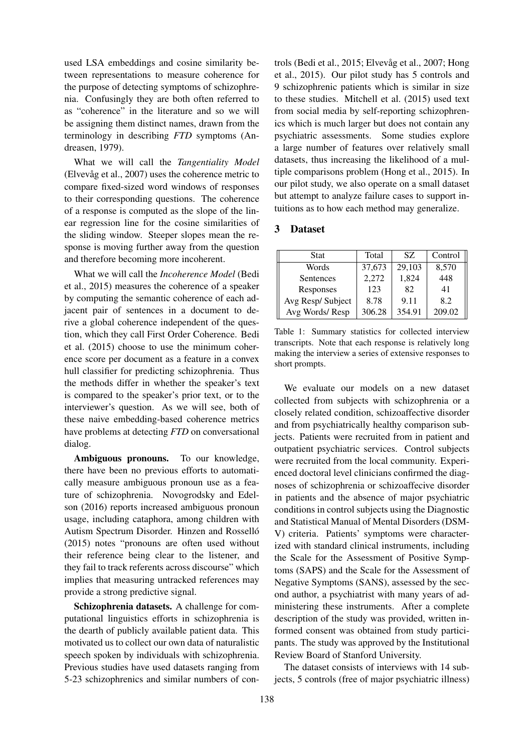used LSA embeddings and cosine similarity between representations to measure coherence for the purpose of detecting symptoms of schizophrenia. Confusingly they are both often referred to as "coherence" in the literature and so we will be assigning them distinct names, drawn from the terminology in describing *FTD* symptoms (Andreasen, 1979).

What we will call the *Tangentiality Model* (Elvevåg et al., 2007) uses the coherence metric to compare fixed-sized word windows of responses to their corresponding questions. The coherence of a response is computed as the slope of the linear regression line for the cosine similarities of the sliding window. Steeper slopes mean the response is moving further away from the question and therefore becoming more incoherent.

What we will call the *Incoherence Model* (Bedi et al., 2015) measures the coherence of a speaker by computing the semantic coherence of each adjacent pair of sentences in a document to derive a global coherence independent of the question, which they call First Order Coherence. Bedi et al. (2015) choose to use the minimum coherence score per document as a feature in a convex hull classifier for predicting schizophrenia. Thus the methods differ in whether the speaker's text is compared to the speaker's prior text, or to the interviewer's question. As we will see, both of these naive embedding-based coherence metrics have problems at detecting *FTD* on conversational dialog.

Ambiguous pronouns. To our knowledge, there have been no previous efforts to automatically measure ambiguous pronoun use as a feature of schizophrenia. Novogrodsky and Edelson (2016) reports increased ambiguous pronoun usage, including cataphora, among children with Autism Spectrum Disorder. Hinzen and Rossello´ (2015) notes "pronouns are often used without their reference being clear to the listener, and they fail to track referents across discourse" which implies that measuring untracked references may provide a strong predictive signal.

Schizophrenia datasets. A challenge for computational linguistics efforts in schizophrenia is the dearth of publicly available patient data. This motivated us to collect our own data of naturalistic speech spoken by individuals with schizophrenia. Previous studies have used datasets ranging from 5-23 schizophrenics and similar numbers of controls (Bedi et al., 2015; Elvevåg et al., 2007; Hong et al., 2015). Our pilot study has 5 controls and 9 schizophrenic patients which is similar in size to these studies. Mitchell et al. (2015) used text from social media by self-reporting schizophrenics which is much larger but does not contain any psychiatric assessments. Some studies explore a large number of features over relatively small datasets, thus increasing the likelihood of a multiple comparisons problem (Hong et al., 2015). In our pilot study, we also operate on a small dataset but attempt to analyze failure cases to support intuitions as to how each method may generalize.

### 3 Dataset

| Stat             | Total  | SZ.    | Control |  |
|------------------|--------|--------|---------|--|
| Words            | 37,673 | 29,103 | 8,570   |  |
| Sentences        | 2,272  | 1,824  | 448     |  |
| Responses        | 123    | 82     | 41      |  |
| Avg Resp/Subject | 8.78   | 9.11   | 8.2     |  |
| Avg Words/Resp   | 306.28 | 354.91 | 209.02  |  |

Table 1: Summary statistics for collected interview transcripts. Note that each response is relatively long making the interview a series of extensive responses to short prompts.

We evaluate our models on a new dataset collected from subjects with schizophrenia or a closely related condition, schizoaffective disorder and from psychiatrically healthy comparison subjects. Patients were recruited from in patient and outpatient psychiatric services. Control subjects were recruited from the local community. Experienced doctoral level clinicians confirmed the diagnoses of schizophrenia or schizoaffecive disorder in patients and the absence of major psychiatric conditions in control subjects using the Diagnostic and Statistical Manual of Mental Disorders (DSM-V) criteria. Patients' symptoms were characterized with standard clinical instruments, including the Scale for the Assessment of Positive Symptoms (SAPS) and the Scale for the Assessment of Negative Symptoms (SANS), assessed by the second author, a psychiatrist with many years of administering these instruments. After a complete description of the study was provided, written informed consent was obtained from study participants. The study was approved by the Institutional Review Board of Stanford University.

The dataset consists of interviews with 14 subjects, 5 controls (free of major psychiatric illness)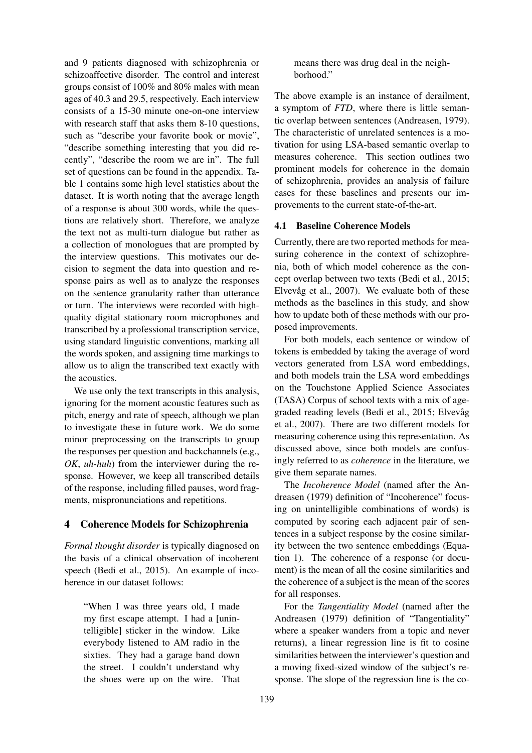and 9 patients diagnosed with schizophrenia or schizoaffective disorder. The control and interest groups consist of 100% and 80% males with mean ages of 40.3 and 29.5, respectively. Each interview consists of a 15-30 minute one-on-one interview with research staff that asks them 8-10 questions, such as "describe your favorite book or movie", "describe something interesting that you did recently", "describe the room we are in". The full set of questions can be found in the appendix. Table 1 contains some high level statistics about the dataset. It is worth noting that the average length of a response is about 300 words, while the questions are relatively short. Therefore, we analyze the text not as multi-turn dialogue but rather as a collection of monologues that are prompted by the interview questions. This motivates our decision to segment the data into question and response pairs as well as to analyze the responses on the sentence granularity rather than utterance or turn. The interviews were recorded with highquality digital stationary room microphones and transcribed by a professional transcription service, using standard linguistic conventions, marking all the words spoken, and assigning time markings to allow us to align the transcribed text exactly with the acoustics.

We use only the text transcripts in this analysis, ignoring for the moment acoustic features such as pitch, energy and rate of speech, although we plan to investigate these in future work. We do some minor preprocessing on the transcripts to group the responses per question and backchannels (e.g., *OK*, *uh-huh*) from the interviewer during the response. However, we keep all transcribed details of the response, including filled pauses, word fragments, mispronunciations and repetitions.

### 4 Coherence Models for Schizophrenia

*Formal thought disorder* is typically diagnosed on the basis of a clinical observation of incoherent speech (Bedi et al., 2015). An example of incoherence in our dataset follows:

"When I was three years old, I made my first escape attempt. I had a [unintelligible] sticker in the window. Like everybody listened to AM radio in the sixties. They had a garage band down the street. I couldn't understand why the shoes were up on the wire. That means there was drug deal in the neighborhood."

The above example is an instance of derailment, a symptom of *FTD*, where there is little semantic overlap between sentences (Andreasen, 1979). The characteristic of unrelated sentences is a motivation for using LSA-based semantic overlap to measures coherence. This section outlines two prominent models for coherence in the domain of schizophrenia, provides an analysis of failure cases for these baselines and presents our improvements to the current state-of-the-art.

# 4.1 Baseline Coherence Models

Currently, there are two reported methods for measuring coherence in the context of schizophrenia, both of which model coherence as the concept overlap between two texts (Bedi et al., 2015; Elvevåg et al., 2007). We evaluate both of these methods as the baselines in this study, and show how to update both of these methods with our proposed improvements.

For both models, each sentence or window of tokens is embedded by taking the average of word vectors generated from LSA word embeddings, and both models train the LSA word embeddings on the Touchstone Applied Science Associates (TASA) Corpus of school texts with a mix of agegraded reading levels (Bedi et al., 2015; Elvevåg et al., 2007). There are two different models for measuring coherence using this representation. As discussed above, since both models are confusingly referred to as *coherence* in the literature, we give them separate names.

The *Incoherence Model* (named after the Andreasen (1979) definition of "Incoherence" focusing on unintelligible combinations of words) is computed by scoring each adjacent pair of sentences in a subject response by the cosine similarity between the two sentence embeddings (Equation 1). The coherence of a response (or document) is the mean of all the cosine similarities and the coherence of a subject is the mean of the scores for all responses.

For the *Tangentiality Model* (named after the Andreasen (1979) definition of "Tangentiality" where a speaker wanders from a topic and never returns), a linear regression line is fit to cosine similarities between the interviewer's question and a moving fixed-sized window of the subject's response. The slope of the regression line is the co-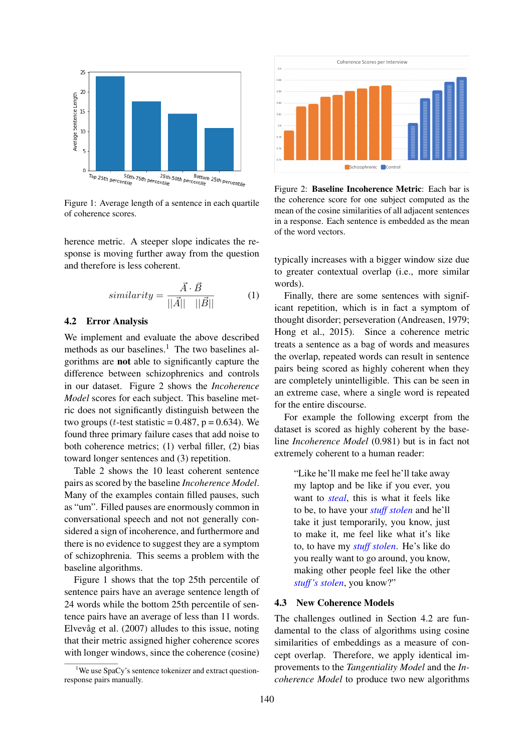

Figure 1: Average length of a sentence in each quartile of coherence scores.

herence metric. A steeper slope indicates the response is moving further away from the question and therefore is less coherent.

$$
similarity = \frac{\vec{A} \cdot \vec{B}}{||\vec{A}|| \quad ||\vec{B}||} \tag{1}
$$

#### 4.2 Error Analysis

We implement and evaluate the above described methods as our baselines.<sup>1</sup> The two baselines algorithms are not able to significantly capture the difference between schizophrenics and controls in our dataset. Figure 2 shows the *Incoherence Model* scores for each subject. This baseline metric does not significantly distinguish between the two groups (*t*-test statistic =  $0.487$ ,  $p = 0.634$ ). We found three primary failure cases that add noise to both coherence metrics; (1) verbal filler, (2) bias toward longer sentences and (3) repetition.

Table 2 shows the 10 least coherent sentence pairs as scored by the baseline *Incoherence Model*. Many of the examples contain filled pauses, such as "um". Filled pauses are enormously common in conversational speech and not not generally considered a sign of incoherence, and furthermore and there is no evidence to suggest they are a symptom of schizophrenia. This seems a problem with the baseline algorithms.

Figure 1 shows that the top 25th percentile of sentence pairs have an average sentence length of 24 words while the bottom 25th percentile of sentence pairs have an average of less than 11 words. Elvevåg et al.  $(2007)$  alludes to this issue, noting that their metric assigned higher coherence scores with longer windows, since the coherence (cosine)



Figure 2: Baseline Incoherence Metric: Each bar is the coherence score for one subject computed as the mean of the cosine similarities of all adjacent sentences in a response. Each sentence is embedded as the mean of the word vectors.

typically increases with a bigger window size due to greater contextual overlap (i.e., more similar words).

Finally, there are some sentences with significant repetition, which is in fact a symptom of thought disorder; perseveration (Andreasen, 1979; Hong et al., 2015). Since a coherence metric treats a sentence as a bag of words and measures the overlap, repeated words can result in sentence pairs being scored as highly coherent when they are completely unintelligible. This can be seen in an extreme case, where a single word is repeated for the entire discourse.

For example the following excerpt from the dataset is scored as highly coherent by the baseline *Incoherence Model* (0.981) but is in fact not extremely coherent to a human reader:

"Like he'll make me feel he'll take away my laptop and be like if you ever, you want to *steal*, this is what it feels like to be, to have your *stuff stolen* and he'll take it just temporarily, you know, just to make it, me feel like what it's like to, to have my *stuff stolen*. He's like do you really want to go around, you know, making other people feel like the other *stuff's stolen*, you know?"

#### 4.3 New Coherence Models

The challenges outlined in Section 4.2 are fundamental to the class of algorithms using cosine similarities of embeddings as a measure of concept overlap. Therefore, we apply identical improvements to the *Tangentiality Model* and the *Incoherence Model* to produce two new algorithms

<sup>&</sup>lt;sup>1</sup>We use SpaCy's sentence tokenizer and extract questionresponse pairs manually.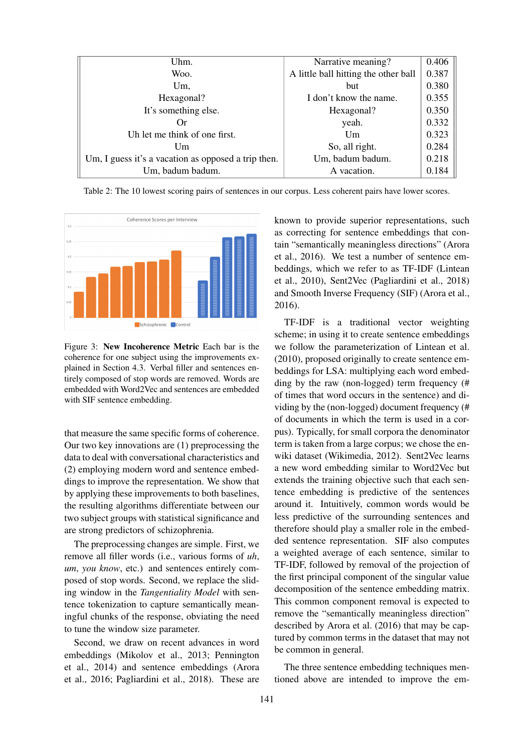| Uhm.                                                | Narrative meaning?                   | 0.406 |
|-----------------------------------------------------|--------------------------------------|-------|
| Woo.                                                | A little ball hitting the other ball | 0.387 |
| Um,                                                 | but                                  | 0.380 |
| Hexagonal?                                          | I don't know the name.               | 0.355 |
| It's something else.                                | Hexagonal?                           | 0.350 |
| Or)                                                 | yeah.                                | 0.332 |
| Uh let me think of one first.                       | Um                                   | 0.323 |
| Um                                                  | So, all right.                       | 0.284 |
| Um, I guess it's a vacation as opposed a trip then. | Um, badum badum.                     | 0.218 |
| Um, badum badum.                                    | A vacation.                          | 0.184 |

Table 2: The 10 lowest scoring pairs of sentences in our corpus. Less coherent pairs have lower scores.



Figure 3: New Incoherence Metric Each bar is the coherence for one subject using the improvements explained in Section 4.3. Verbal filler and sentences entirely composed of stop words are removed. Words are embedded with Word2Vec and sentences are embedded with SIF sentence embedding.

that measure the same specific forms of coherence. Our two key innovations are (1) preprocessing the data to deal with conversational characteristics and (2) employing modern word and sentence embeddings to improve the representation. We show that by applying these improvements to both baselines, the resulting algorithms differentiate between our two subject groups with statistical significance and are strong predictors of schizophrenia.

The preprocessing changes are simple. First, we remove all filler words (i.e., various forms of *uh*, *um*, *you know*, etc.) and sentences entirely composed of stop words. Second, we replace the sliding window in the *Tangentiality Model* with sentence tokenization to capture semantically meaningful chunks of the response, obviating the need to tune the window size parameter.

Second, we draw on recent advances in word embeddings (Mikolov et al., 2013; Pennington et al., 2014) and sentence embeddings (Arora et al., 2016; Pagliardini et al., 2018). These are known to provide superior representations, such as correcting for sentence embeddings that contain "semantically meaningless directions" (Arora et al., 2016). We test a number of sentence embeddings, which we refer to as TF-IDF (Lintean et al., 2010), Sent2Vec (Pagliardini et al., 2018) and Smooth Inverse Frequency (SIF) (Arora et al., 2016).

TF-IDF is a traditional vector weighting scheme; in using it to create sentence embeddings we follow the parameterization of Lintean et al. (2010), proposed originally to create sentence embeddings for LSA: multiplying each word embedding by the raw (non-logged) term frequency (# of times that word occurs in the sentence) and dividing by the (non-logged) document frequency (# of documents in which the term is used in a corpus). Typically, for small corpora the denominator term is taken from a large corpus; we chose the enwiki dataset (Wikimedia, 2012). Sent2Vec learns a new word embedding similar to Word2Vec but extends the training objective such that each sentence embedding is predictive of the sentences around it. Intuitively, common words would be less predictive of the surrounding sentences and therefore should play a smaller role in the embedded sentence representation. SIF also computes a weighted average of each sentence, similar to TF-IDF, followed by removal of the projection of the first principal component of the singular value decomposition of the sentence embedding matrix. This common component removal is expected to remove the "semantically meaningless direction" described by Arora et al. (2016) that may be captured by common terms in the dataset that may not be common in general.

The three sentence embedding techniques mentioned above are intended to improve the em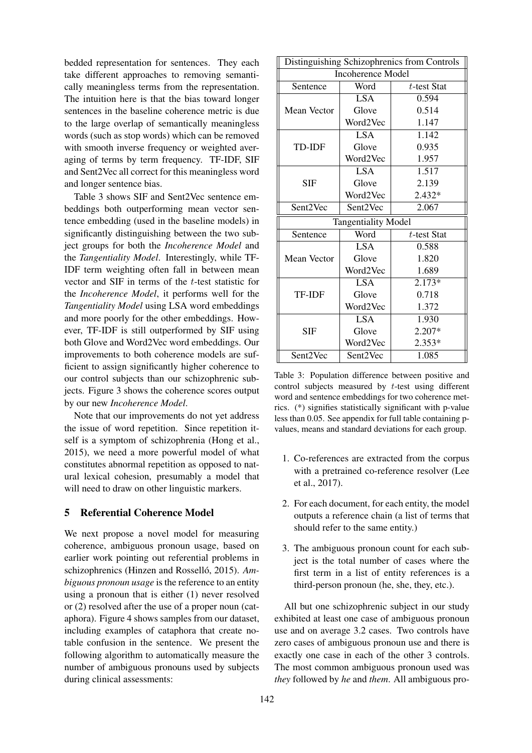bedded representation for sentences. They each take different approaches to removing semantically meaningless terms from the representation. The intuition here is that the bias toward longer sentences in the baseline coherence metric is due to the large overlap of semantically meaningless words (such as stop words) which can be removed with smooth inverse frequency or weighted averaging of terms by term frequency. TF-IDF, SIF and Sent2Vec all correct for this meaningless word and longer sentence bias.

Table 3 shows SIF and Sent2Vec sentence embeddings both outperforming mean vector sentence embedding (used in the baseline models) in significantly distinguishing between the two subject groups for both the *Incoherence Model* and the *Tangentiality Model*. Interestingly, while TF-IDF term weighting often fall in between mean vector and SIF in terms of the t-test statistic for the *Incoherence Model*, it performs well for the *Tangentiality Model* using LSA word embeddings and more poorly for the other embeddings. However, TF-IDF is still outperformed by SIF using both Glove and Word2Vec word embeddings. Our improvements to both coherence models are sufficient to assign significantly higher coherence to our control subjects than our schizophrenic subjects. Figure 3 shows the coherence scores output by our new *Incoherence Model*.

Note that our improvements do not yet address the issue of word repetition. Since repetition itself is a symptom of schizophrenia (Hong et al., 2015), we need a more powerful model of what constitutes abnormal repetition as opposed to natural lexical cohesion, presumably a model that will need to draw on other linguistic markers.

### 5 Referential Coherence Model

We next propose a novel model for measuring coherence, ambiguous pronoun usage, based on earlier work pointing out referential problems in schizophrenics (Hinzen and Rosselló, 2015). Am*biguous pronoun usage* is the reference to an entity using a pronoun that is either (1) never resolved or (2) resolved after the use of a proper noun (cataphora). Figure 4 shows samples from our dataset, including examples of cataphora that create notable confusion in the sentence. We present the following algorithm to automatically measure the number of ambiguous pronouns used by subjects during clinical assessments:

| Distinguishing Schizophrenics from Controls |                        |                |  |
|---------------------------------------------|------------------------|----------------|--|
| <b>Incoherence Model</b>                    |                        |                |  |
| Sentence                                    | Word                   | $t$ -test Stat |  |
|                                             | LSA                    | 0.594          |  |
| Mean Vector                                 | Glove                  | 0.514          |  |
|                                             | Word2Vec               | 1.147          |  |
|                                             | LSA.                   | 1.142          |  |
| <b>TD-IDF</b>                               | Glove                  | 0.935          |  |
|                                             | Word2Vec               | 1.957          |  |
|                                             | LSA.                   | 1.517          |  |
| <b>SIF</b>                                  | Glove                  | 2.139          |  |
|                                             | Word2Vec               | $2.432*$       |  |
| Sent2Vec                                    | Sent2Vec               | 2.067          |  |
| <b>Tangentiality Model</b>                  |                        |                |  |
| Sentence                                    | Word<br>$t$ -test Stat |                |  |
|                                             | <b>LSA</b>             | 0.588          |  |
| Mean Vector                                 | Glove                  | 1.820          |  |
|                                             | Word2Vec               | 1.689          |  |
|                                             | <b>LSA</b>             | $2.173*$       |  |
| <b>TF-IDF</b>                               | Glove                  | 0.718          |  |
|                                             | Word2Vec               | 1.372          |  |
|                                             | <b>LSA</b>             | 1.930          |  |
| <b>SIF</b>                                  | Glove                  | 2.207*         |  |
|                                             | Word2Vec               | 2.353*         |  |
| Sent2Vec                                    | Sent2Vec               | 1.085          |  |

Table 3: Population difference between positive and control subjects measured by  $t$ -test using different word and sentence embeddings for two coherence metrics. (\*) signifies statistically significant with p-value less than 0.05. See appendix for full table containing pvalues, means and standard deviations for each group.

- 1. Co-references are extracted from the corpus with a pretrained co-reference resolver (Lee et al., 2017).
- 2. For each document, for each entity, the model outputs a reference chain (a list of terms that should refer to the same entity.)
- 3. The ambiguous pronoun count for each subject is the total number of cases where the first term in a list of entity references is a third-person pronoun (he, she, they, etc.).

All but one schizophrenic subject in our study exhibited at least one case of ambiguous pronoun use and on average 3.2 cases. Two controls have zero cases of ambiguous pronoun use and there is exactly one case in each of the other 3 controls. The most common ambiguous pronoun used was *they* followed by *he* and *them*. All ambiguous pro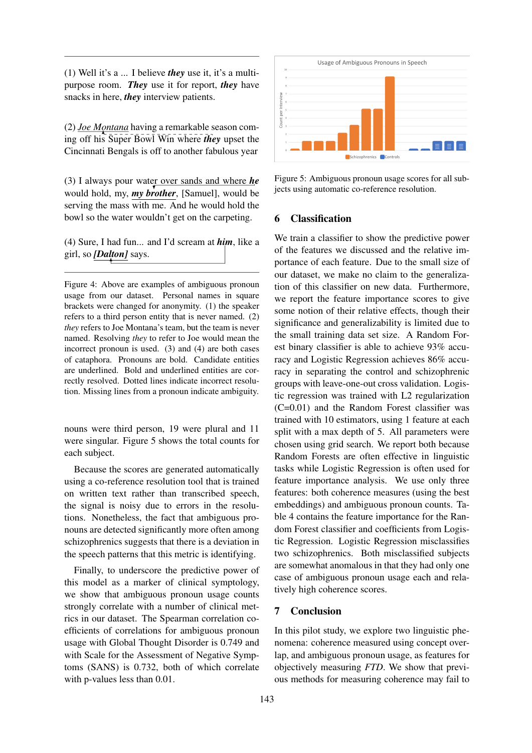(1) Well it's a ... I believe *they* use it, it's a multipurpose room. *They* use it for report, *they* have snacks in here, *they* interview patients.

(2) *Joe Montana* having a remarkable season coming off his Super Bowl Win where *they* upset the Cincinnati Bengals is off to another fabulous year

(3) I always pour water over sands and where *he* would hold, my, *my brother*, [Samuel], would be serving the mass with me. And he would hold the bowl so the water wouldn't get on the carpeting.

(4) Sure, I had fun... and I'd scream at *him*, like a girl, so *[Dalton]* says.

Figure 4: Above are examples of ambiguous pronoun usage from our dataset. Personal names in square brackets were changed for anonymity. (1) the speaker refers to a third person entity that is never named. (2) *they* refers to Joe Montana's team, but the team is never named. Resolving *they* to refer to Joe would mean the incorrect pronoun is used. (3) and (4) are both cases of cataphora. Pronouns are bold. Candidate entities are underlined. Bold and underlined entities are correctly resolved. Dotted lines indicate incorrect resolution. Missing lines from a pronoun indicate ambiguity.

nouns were third person, 19 were plural and 11 were singular. Figure 5 shows the total counts for each subject.

Because the scores are generated automatically using a co-reference resolution tool that is trained on written text rather than transcribed speech, the signal is noisy due to errors in the resolutions. Nonetheless, the fact that ambiguous pronouns are detected significantly more often among schizophrenics suggests that there is a deviation in the speech patterns that this metric is identifying.

Finally, to underscore the predictive power of this model as a marker of clinical symptology, we show that ambiguous pronoun usage counts strongly correlate with a number of clinical metrics in our dataset. The Spearman correlation coefficients of correlations for ambiguous pronoun usage with Global Thought Disorder is 0.749 and with Scale for the Assessment of Negative Symptoms (SANS) is 0.732, both of which correlate with p-values less than 0.01.



Figure 5: Ambiguous pronoun usage scores for all subjects using automatic co-reference resolution.

#### 6 Classification

We train a classifier to show the predictive power of the features we discussed and the relative importance of each feature. Due to the small size of our dataset, we make no claim to the generalization of this classifier on new data. Furthermore, we report the feature importance scores to give some notion of their relative effects, though their significance and generalizability is limited due to the small training data set size. A Random Forest binary classifier is able to achieve 93% accuracy and Logistic Regression achieves 86% accuracy in separating the control and schizophrenic groups with leave-one-out cross validation. Logistic regression was trained with L2 regularization (C=0.01) and the Random Forest classifier was trained with 10 estimators, using 1 feature at each split with a max depth of 5. All parameters were chosen using grid search. We report both because Random Forests are often effective in linguistic tasks while Logistic Regression is often used for feature importance analysis. We use only three features: both coherence measures (using the best embeddings) and ambiguous pronoun counts. Table 4 contains the feature importance for the Random Forest classifier and coefficients from Logistic Regression. Logistic Regression misclassifies two schizophrenics. Both misclassified subjects are somewhat anomalous in that they had only one case of ambiguous pronoun usage each and relatively high coherence scores.

### 7 Conclusion

In this pilot study, we explore two linguistic phenomena: coherence measured using concept overlap, and ambiguous pronoun usage, as features for objectively measuring *FTD*. We show that previous methods for measuring coherence may fail to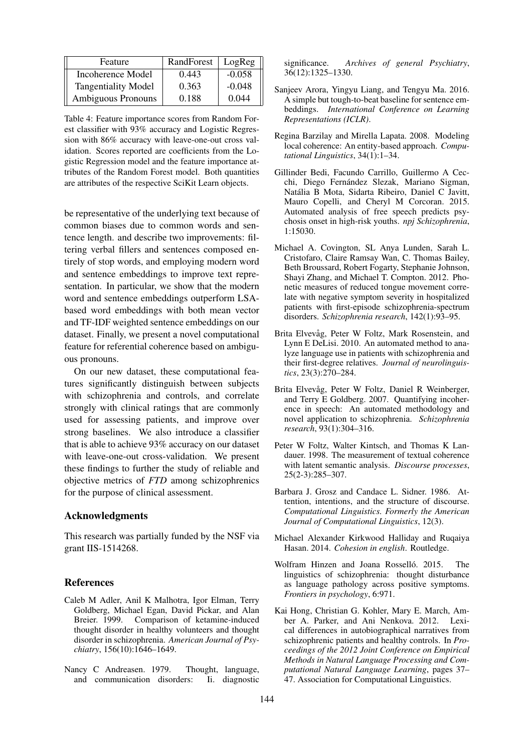| Feature                    | RandForest | LogReg   |
|----------------------------|------------|----------|
| Incoherence Model          | 0.443      | $-0.058$ |
| <b>Tangentiality Model</b> | 0.363      | $-0.048$ |
| Ambiguous Pronouns         | 0.188      | 0.044    |

Table 4: Feature importance scores from Random Forest classifier with 93% accuracy and Logistic Regression with 86% accuracy with leave-one-out cross validation. Scores reported are coefficients from the Logistic Regression model and the feature importance attributes of the Random Forest model. Both quantities are attributes of the respective SciKit Learn objects.

be representative of the underlying text because of common biases due to common words and sentence length. and describe two improvements: filtering verbal fillers and sentences composed entirely of stop words, and employing modern word and sentence embeddings to improve text representation. In particular, we show that the modern word and sentence embeddings outperform LSAbased word embeddings with both mean vector and TF-IDF weighted sentence embeddings on our dataset. Finally, we present a novel computational feature for referential coherence based on ambiguous pronouns.

On our new dataset, these computational features significantly distinguish between subjects with schizophrenia and controls, and correlate strongly with clinical ratings that are commonly used for assessing patients, and improve over strong baselines. We also introduce a classifier that is able to achieve 93% accuracy on our dataset with leave-one-out cross-validation. We present these findings to further the study of reliable and objective metrics of *FTD* among schizophrenics for the purpose of clinical assessment.

#### Acknowledgments

This research was partially funded by the NSF via grant IIS-1514268.

#### References

- Caleb M Adler, Anil K Malhotra, Igor Elman, Terry Goldberg, Michael Egan, David Pickar, and Alan Breier. 1999. Comparison of ketamine-induced thought disorder in healthy volunteers and thought disorder in schizophrenia. *American Journal of Psychiatry*, 156(10):1646–1649.
- Nancy C Andreasen. 1979. Thought, language, and communication disorders: Ii. diagnostic

significance. *Archives of general Psychiatry*, 36(12):1325–1330.

- Sanjeev Arora, Yingyu Liang, and Tengyu Ma. 2016. A simple but tough-to-beat baseline for sentence embeddings. *International Conference on Learning Representations (ICLR)*.
- Regina Barzilay and Mirella Lapata. 2008. Modeling local coherence: An entity-based approach. *Computational Linguistics*, 34(1):1–34.
- Gillinder Bedi, Facundo Carrillo, Guillermo A Cecchi, Diego Fernández Slezak, Mariano Sigman, Natalia B Mota, Sidarta Ribeiro, Daniel C Javitt, ´ Mauro Copelli, and Cheryl M Corcoran. 2015. Automated analysis of free speech predicts psychosis onset in high-risk youths. *npj Schizophrenia*, 1:15030.
- Michael A. Covington, SL Anya Lunden, Sarah L. Cristofaro, Claire Ramsay Wan, C. Thomas Bailey, Beth Broussard, Robert Fogarty, Stephanie Johnson, Shayi Zhang, and Michael T. Compton. 2012. Phonetic measures of reduced tongue movement correlate with negative symptom severity in hospitalized patients with first-episode schizophrenia-spectrum disorders. *Schizophrenia research*, 142(1):93–95.
- Brita Elvevåg, Peter W Foltz, Mark Rosenstein, and Lynn E DeLisi. 2010. An automated method to analyze language use in patients with schizophrenia and their first-degree relatives. *Journal of neurolinguistics*, 23(3):270–284.
- Brita Elvevåg, Peter W Foltz, Daniel R Weinberger, and Terry E Goldberg. 2007. Quantifying incoherence in speech: An automated methodology and novel application to schizophrenia. *Schizophrenia research*, 93(1):304–316.
- Peter W Foltz, Walter Kintsch, and Thomas K Landauer. 1998. The measurement of textual coherence with latent semantic analysis. *Discourse processes*, 25(2-3):285–307.
- Barbara J. Grosz and Candace L. Sidner. 1986. Attention, intentions, and the structure of discourse. *Computational Linguistics. Formerly the American Journal of Computational Linguistics*, 12(3).
- Michael Alexander Kirkwood Halliday and Ruqaiya Hasan. 2014. *Cohesion in english*. Routledge.
- Wolfram Hinzen and Joana Rosselló. 2015. The linguistics of schizophrenia: thought disturbance as language pathology across positive symptoms. *Frontiers in psychology*, 6:971.
- Kai Hong, Christian G. Kohler, Mary E. March, Amber A. Parker, and Ani Nenkova. 2012. Lexical differences in autobiographical narratives from schizophrenic patients and healthy controls. In *Proceedings of the 2012 Joint Conference on Empirical Methods in Natural Language Processing and Computational Natural Language Learning*, pages 37– 47. Association for Computational Linguistics.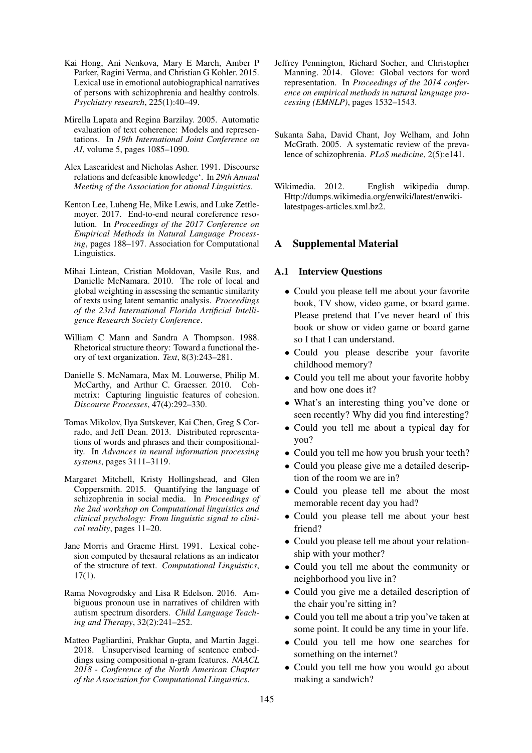- Kai Hong, Ani Nenkova, Mary E March, Amber P Parker, Ragini Verma, and Christian G Kohler. 2015. Lexical use in emotional autobiographical narratives of persons with schizophrenia and healthy controls. *Psychiatry research*, 225(1):40–49.
- Mirella Lapata and Regina Barzilay. 2005. Automatic evaluation of text coherence: Models and representations. In *19th International Joint Conference on AI*, volume 5, pages 1085–1090.
- Alex Lascaridest and Nicholas Asher. 1991. Discourse relations and defeasible knowledge'. In *29th Annual Meeting of the Association for ational Linguistics*.
- Kenton Lee, Luheng He, Mike Lewis, and Luke Zettlemoyer. 2017. End-to-end neural coreference resolution. In *Proceedings of the 2017 Conference on Empirical Methods in Natural Language Processing*, pages 188–197. Association for Computational Linguistics.
- Mihai Lintean, Cristian Moldovan, Vasile Rus, and Danielle McNamara. 2010. The role of local and global weighting in assessing the semantic similarity of texts using latent semantic analysis. *Proceedings of the 23rd International Florida Artificial Intelligence Research Society Conference*.
- William C Mann and Sandra A Thompson. 1988. Rhetorical structure theory: Toward a functional theory of text organization. *Text*, 8(3):243–281.
- Danielle S. McNamara, Max M. Louwerse, Philip M. McCarthy, and Arthur C. Graesser. 2010. Cohmetrix: Capturing linguistic features of cohesion. *Discourse Processes*, 47(4):292–330.
- Tomas Mikolov, Ilya Sutskever, Kai Chen, Greg S Corrado, and Jeff Dean. 2013. Distributed representations of words and phrases and their compositionality. In *Advances in neural information processing systems*, pages 3111–3119.
- Margaret Mitchell, Kristy Hollingshead, and Glen Coppersmith. 2015. Quantifying the language of schizophrenia in social media. In *Proceedings of the 2nd workshop on Computational linguistics and clinical psychology: From linguistic signal to clinical reality*, pages 11–20.
- Jane Morris and Graeme Hirst. 1991. Lexical cohesion computed by thesaural relations as an indicator of the structure of text. *Computational Linguistics*, 17(1).
- Rama Novogrodsky and Lisa R Edelson. 2016. Ambiguous pronoun use in narratives of children with autism spectrum disorders. *Child Language Teaching and Therapy*, 32(2):241–252.
- Matteo Pagliardini, Prakhar Gupta, and Martin Jaggi. 2018. Unsupervised learning of sentence embeddings using compositional n-gram features. *NAACL 2018 - Conference of the North American Chapter of the Association for Computational Linguistics*.
- Jeffrey Pennington, Richard Socher, and Christopher Manning. 2014. Glove: Global vectors for word representation. In *Proceedings of the 2014 conference on empirical methods in natural language processing (EMNLP)*, pages 1532–1543.
- Sukanta Saha, David Chant, Joy Welham, and John McGrath. 2005. A systematic review of the prevalence of schizophrenia. *PLoS medicine*, 2(5):e141.
- Wikimedia. 2012. English wikipedia dump. Http://dumps.wikimedia.org/enwiki/latest/enwikilatestpages-articles.xml.bz2.

### A Supplemental Material

#### A.1 Interview Questions

- Could you please tell me about your favorite book, TV show, video game, or board game. Please pretend that I've never heard of this book or show or video game or board game so I that I can understand.
- Could you please describe your favorite childhood memory?
- Could you tell me about your favorite hobby and how one does it?
- What's an interesting thing you've done or seen recently? Why did you find interesting?
- Could you tell me about a typical day for you?
- Could you tell me how you brush your teeth?
- Could you please give me a detailed description of the room we are in?
- Could you please tell me about the most memorable recent day you had?
- Could you please tell me about your best friend?
- Could you please tell me about your relationship with your mother?
- Could you tell me about the community or neighborhood you live in?
- Could you give me a detailed description of the chair you're sitting in?
- Could you tell me about a trip you've taken at some point. It could be any time in your life.
- Could you tell me how one searches for something on the internet?
- Could you tell me how you would go about making a sandwich?